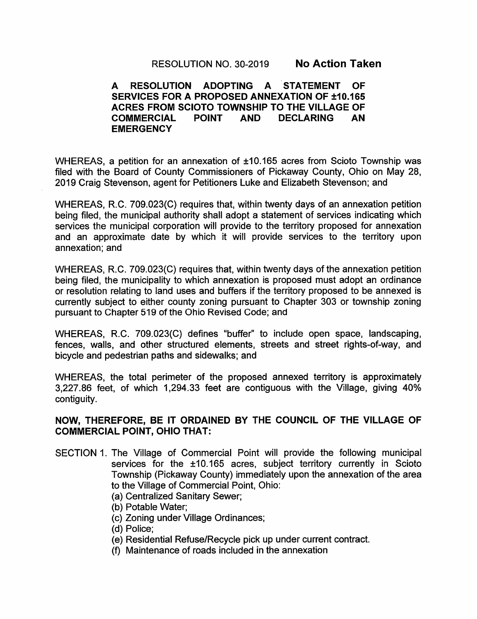RESOLUTION NO. 30-2019 No Action Taken

#### A RESOLUTION ADOPTING A STATEMENT OF SERVICES FOR A PROPOSED ANNEXATION OF ±10.165 ACRES FROM SCIOTO TOWNSHIP TO THE VILLAGE OF COMMERCIAL POINT AND DECLARING AN **EMERGENCY**

WHEREAS, a petition for an annexation of ±10.165 acres from Scioto Township was filed with the Board of County Commissioners of Pickaway County, Ohio on May 28, 2019 Craig Stevenson, agent for Petitioners Luke and Elizabeth Stevenson; and

WHEREAS, R.C. 709.023(C) requires that, within twenty days of an annexation petition being filed, the municipal authority shall adopt a statement of services indicating which services the municipal corporation will provide to the territory proposed for annexation and an approximate date by which it will provide services to the territory upon annexation; and

WHEREAS, R.C. 709.023(C) requires that, within twenty days of the annexation petition being filed, the municipality to which annexation is proposed must adopt an ordinance or resolution relating to land uses and buffers if the territory proposed to be annexed is currently subject to either county zoning pursuant to Chapter 303 or township zoning pursuant to Chapter 519 of the Ohio Revised Code; and

WHEREAS, R.C. 709.023(C) defines "buffer" to include open space, landscaping, fences, walls, and other structured elements, streets and street rights-of-way, and bicycle and pedestrian paths and sidewalks; and

WHEREAS, the total perimeter of the proposed annexed territory is approximately 3,227.86 feet, of which 1,294.33 feet are contiguous with the Village, giving 40% contiguity.

### NOW, THEREFORE, BE IT ORDAINED BY THE COUNCIL OF THE VILLAGE OF COMMERCIAL POINT, OHIO THAT:

- SECTION 1. The Village of Commercial Point will provide the following municipal services for the ±10.165 acres, subject territory currently in Scioto Township (Pickaway County) immediately upon the annexation of the area to the Village of Commercial Point, Ohio:
	- (a) Centralized Sanitary Sewer;
	- (b) Potable Water;
	- (c) Zoning under Village Ordinances;
	- (d) Police;
	- (e) Residential Refuse/Recycle pick up under current contract.
	- (f) Maintenance of roads included in the annexation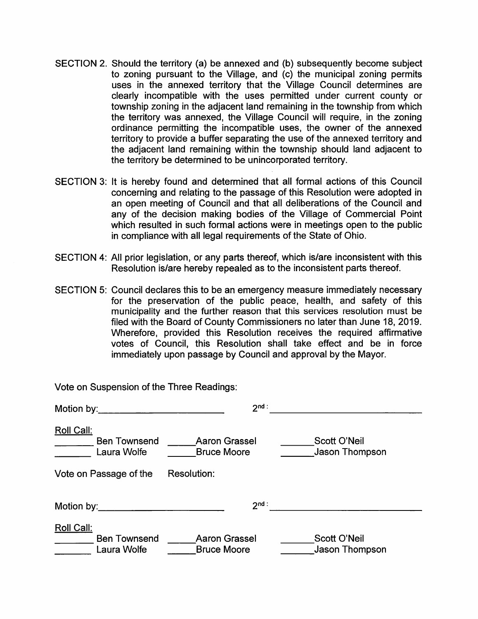- SECTION 2. Should the territory (a) be annexed and (b) subsequently become subject to zoning pursuant to the Village, and (c) the municipal zoning permits uses in the annexed territory that the Village Council determines are clearly incompatible with the uses permitted under current county or township zoning in the adjacent land remaining in the township from which the territory was annexed, the Village Council will require, in the zoning ordinance permitting the incompatible uses, the owner of the annexed territory to provide a buffer separating the use of the annexed territory and the adjacent land remaining within the township should land adjacent to the territory be determined to be unincorporated territory.
- SECTION 3: It is hereby found and determined that all formal actions of this Council concerning and relating to the passage of this Resolution were adopted in an open meeting of Council and that all deliberations of the Council and any of the decision making bodies of the Village of Commercial Point which resulted in such formal actions were in meetings open to the public in compliance with all legal requirements of the State of Ohio.
- SECTION 4: All prior legislation, or any parts thereof, which is/are inconsistent with this Resolution is/are hereby repealed as to the inconsistent parts thereof.
- SECTION 5: Council declares this to be an emergency measure immediately necessary for the preservation of the public peace, health, and safety of this municipality and the further reason that this services resolution must be filed with the Board of County Commissioners no later than June 18, 2019. Wherefore, provided this Resolution receives the required affirmative votes of Council, this Resolution shall take effect and be in force immediately upon passage by Council and approval by the Mayor.

| Motion by: <u>with a series of the series of the series of the series of the series of the series of the series of the series of the series of the series of the series of the series of the series of the series of the series </u> | $2nd$ :                                    |                                |
|--------------------------------------------------------------------------------------------------------------------------------------------------------------------------------------------------------------------------------------|--------------------------------------------|--------------------------------|
| Roll Call:<br><b>Ben Townsend</b><br>Laura Wolfe                                                                                                                                                                                     | <b>Aaron Grassel</b><br><b>Bruce Moore</b> | Scott O'Neil<br>Jason Thompson |
| Vote on Passage of the                                                                                                                                                                                                               | <b>Resolution:</b>                         |                                |
| Motion by:______________________                                                                                                                                                                                                     | $2nd$ :                                    |                                |
| Roll Call:<br><b>Ben Townsend</b><br>Laura Wolfe                                                                                                                                                                                     | <b>Aaron Grassel</b><br><b>Bruce Moore</b> | Scott O'Neil<br>Jason Thompson |

Vote on Suspension of the Three Readings: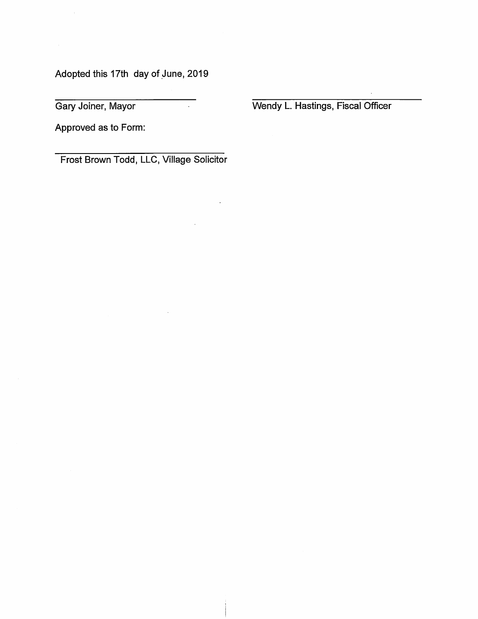Adopted this 17th day of June, 2019

Gary Joiner, Mayor

Wendy L. Hastings, Fiscal Officer

Approved as to Form:

Frost Brown Todd, LLC, Village Solicitor

 $\mathcal{L}^{\pm}$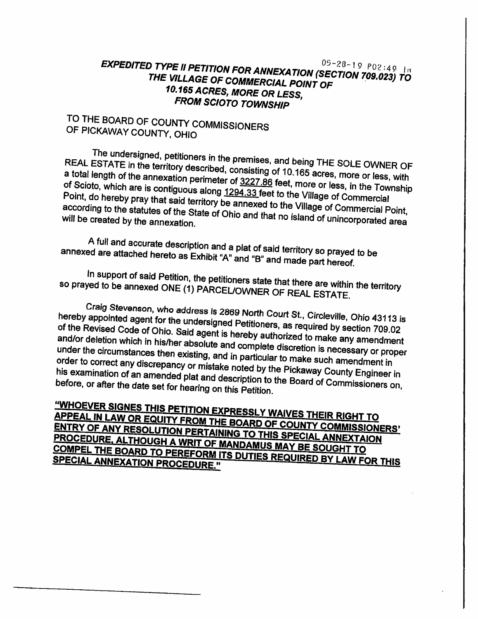## EXPEDITED TYPE II PETITION FOR ANNEXATION (SECTION 709.023) TO THE VILLAGE OF COMMERCIAL POINT OF 10.165 ACRES, MORE OR LESS, **FROM SCIOTO TOWNSHIP**

# TO THE BOARD OF COUNTY COMMISSIONERS OF PICKAWAY COUNTY, OHIO

The undersigned, petitioners in the premises, and being THE SOLE OWNER OF REAL ESTATE in the territory described, consisting of 10.165 acres, more or less, with a total length of the annexation perimeter of 3227.86 feet, more or less, in the Township of Scioto, which are is contiguous along 1294.33 feet to the Village of Commercial Point, do hereby pray that said territory be annexed to the Village of Commercial Point, according to the statutes of the State of Ohio and that no island of unincorporated area will be created by the annexation.

A full and accurate description and a plat of said territory so prayed to be annexed are attached hereto as Exhibit "A" and "B" and made part hereof.

In support of said Petition, the petitioners state that there are within the territory so prayed to be annexed ONE (1) PARCEL/OWNER OF REAL ESTATE.

Craig Stevenson, who address is 2869 North Court St., Circleville, Ohio 43113 is hereby appointed agent for the undersigned Petitioners, as required by section 709.02 of the Revised Code of Ohio. Said agent is hereby authorized to make any amendment and/or deletion which in his/her absolute and complete discretion is necessary or proper under the circumstances then existing, and in particular to make such amendment in order to correct any discrepancy or mistake noted by the Pickaway County Engineer in his examination of an amended plat and description to the Board of Commissioners on, before, or after the date set for hearing on this Petition.

"WHOEVER SIGNES THIS PETITION EXPRESSLY WAIVES THEIR RIGHT TO APPEAL IN LAW OR EQUITY FROM THE BOARD OF COUNTY COMMISSIONERS' ENTRY OF ANY RESOLUTION PERTAINING TO THIS SPECIAL ANNEXTAION PROCEDURE, ALTHOUGH A WRIT OF MANDAMUS MAY BE SOUGHT TO COMPEL THE BOARD TO PEREFORM ITS DUTIES REQUIRED BY LAW FOR THIS **SPECIAL ANNEXATION PROCEDURE."**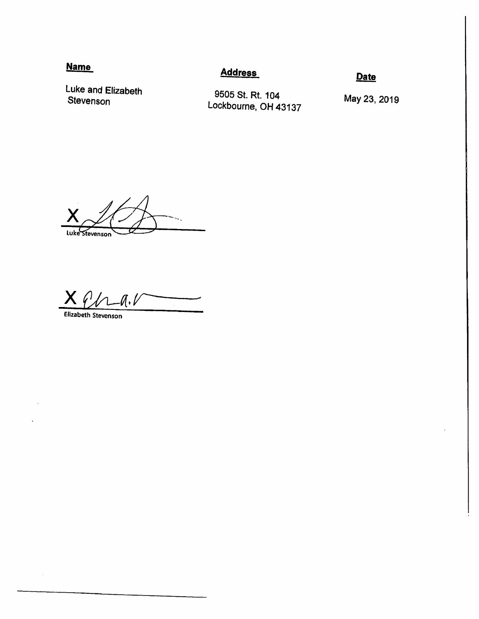## **Name**

### **Address**

Date

Luke and Elizabeth Stevenson

9505 St. Rt. 104 Lockbourne, OH 43137

May 23, 2019

Luke Stevenson

X ', l

Elizabeth Stevenson

 $\ddot{\phantom{a}}$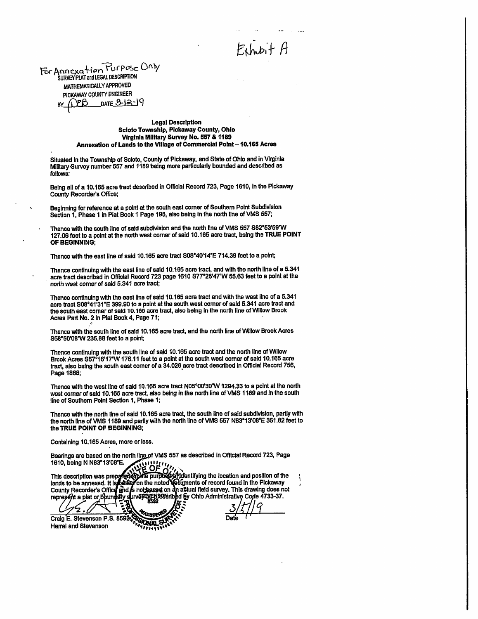Exhabit A

For Annexation Purpose Only **SURVEY PLAT and LEGAL DESCRIPTION** MATHEMATICALLY APPROVED PICKAWAY COUNTY ENGINEER  $_{\text{DATE}}$  2-12-19

 $\ddot{\phantom{0}}$ 

**Legal Description Scioto Township, Pickaway County, Ohio** Virginia Military Survey No. 557 & 1189 Annexation of Lands to the Village of Commercial Point - 10.165 Acres

Situated in the Township of Scioto, County of Pickaway, and State of Ohio and in Virginia Military Survey number 557 and 1189 being more particularly bounded and described as follows:

Being all of a 10.165 acre tract described in Official Record 723, Page 1610, in the Pickaway County Recorder's Office;

Beginning for reference at a point at the south east corner of Southern Point Subdivision Section 1, Phase 1 in Piat Book 1 Page 196, also being in the north line of VMS 557;

Thence with the south line of said subdivision and the north line of VMS 557 S82°53'59"W 127.06 feet to a point at the north west corner of said 10.165 acre tract, being the TRUE POINT OF BEGINNING:

Thence with the east line of said 10.165 acre tract S08°40'14"E 714.39 feet to a point;

Thence continuing with the east line of said 10.165 acre tract, and with the north line of a 5.341 acre tract described in Official Record 723 page 1610 S77°26'47"W 55.63 feet to a point at the north west corner of said 5.341 acre tract;

Thence continuing with the east line of said 10.165 acre tract and with the west line of a 5.341 acre tract S08°41'31"E 399.90 to a point at the south west corner of said 5.341 acre tract and the south east corner of said 10.165 acre tract, also being in the north line of Willow Brook Acres Part No. 2 in Plat Book 4, Page 71;

Thence with the south line of said 10.165 acre tract, and the north line of Willow Brook Acres S58°50'08"W 235.88 feet to a point;

Thence continuing with the south line of said 10.165 acre tract and the north line of Willow Brook Acres S57°16'17"W 176.11 feet to a point at the south west corner of sald 10.165 acre tract, also being the south east comer of a 34.026 acre tract described in Official Record 756, Page 1868;

Thence with the west line of said 10.165 acre tract N05°00'30"W 1294.33 to a point at the north west corner of said 10.165 acre tract, also being in the north line of VMS 1189 and in the south line of Southern Point Section 1, Phase 1;

Thence with the north line of said 10.165 acre tract, the south line of said subdivision, partly with the north line of VMS 1189 and partly with the north line of VMS 557 N83°13'08"E 351.62 feet to the TRUE POINT OF BEGINNING;

Containing 10,165 Acres, more or less.

Bearings are based on the north ling of VMS 557 as described in Official Record 723, Page 1610, being N N83°13'08"E.

This description was prepared to the DE 11, and the location and position of the lands to be annexed. It is passed on the noted columnity ing the location and position of the lands to be annexed. It is passed on the noted

Ż. Craig E. Stevenson P.S. 8592 **Harral and Stevenson**